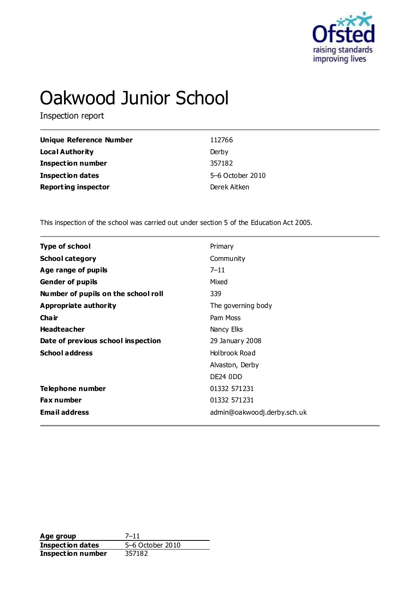

# Oakwood Junior School

Inspection report

| Unique Reference Number    | 112766           |
|----------------------------|------------------|
| <b>Local Authority</b>     | Derby            |
| <b>Inspection number</b>   | 357182           |
| <b>Inspection dates</b>    | 5-6 October 2010 |
| <b>Reporting inspector</b> | Derek Aitken     |

This inspection of the school was carried out under section 5 of the Education Act 2005.

| <b>Type of school</b>               | Primary                     |
|-------------------------------------|-----------------------------|
| <b>School category</b>              | Community                   |
| Age range of pupils                 | $7 - 11$                    |
| <b>Gender of pupils</b>             | Mixed                       |
| Number of pupils on the school roll | 339                         |
| Appropriate authority               | The governing body          |
| Cha ir                              | Pam Moss                    |
| <b>Headteacher</b>                  | Nancy Elks                  |
| Date of previous school inspection  | 29 January 2008             |
| <b>School address</b>               | Holbrook Road               |
|                                     | Alvaston, Derby             |
|                                     | DE24 0DD                    |
| Telephone number                    | 01332 571231                |
| <b>Fax number</b>                   | 01332 571231                |
| <b>Email address</b>                | admin@oakwoodj.derby.sch.uk |
|                                     |                             |

**Age group** 7-11<br> **Inspection dates** 5-6 October 2010 **Inspection dates** 5–6 October 5–6 October 2012 **Inspection number**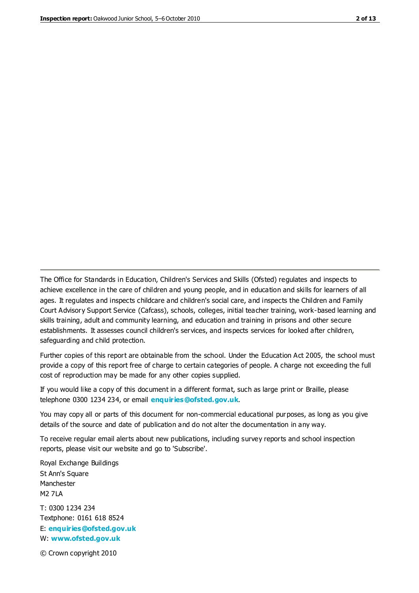The Office for Standards in Education, Children's Services and Skills (Ofsted) regulates and inspects to achieve excellence in the care of children and young people, and in education and skills for learners of all ages. It regulates and inspects childcare and children's social care, and inspects the Children and Family Court Advisory Support Service (Cafcass), schools, colleges, initial teacher training, work-based learning and skills training, adult and community learning, and education and training in prisons and other secure establishments. It assesses council children's services, and inspects services for looked after children, safeguarding and child protection.

Further copies of this report are obtainable from the school. Under the Education Act 2005, the school must provide a copy of this report free of charge to certain categories of people. A charge not exceeding the full cost of reproduction may be made for any other copies supplied.

If you would like a copy of this document in a different format, such as large print or Braille, please telephone 0300 1234 234, or email **[enquiries@ofsted.gov.uk](mailto:enquiries@ofsted.gov.uk)**.

You may copy all or parts of this document for non-commercial educational purposes, as long as you give details of the source and date of publication and do not alter the documentation in any way.

To receive regular email alerts about new publications, including survey reports and school inspection reports, please visit our website and go to 'Subscribe'.

Royal Exchange Buildings St Ann's Square Manchester M2 7LA T: 0300 1234 234 Textphone: 0161 618 8524 E: **[enquiries@ofsted.gov.uk](mailto:enquiries@ofsted.gov.uk)**

W: **[www.ofsted.gov.uk](http://www.ofsted.gov.uk/)**

© Crown copyright 2010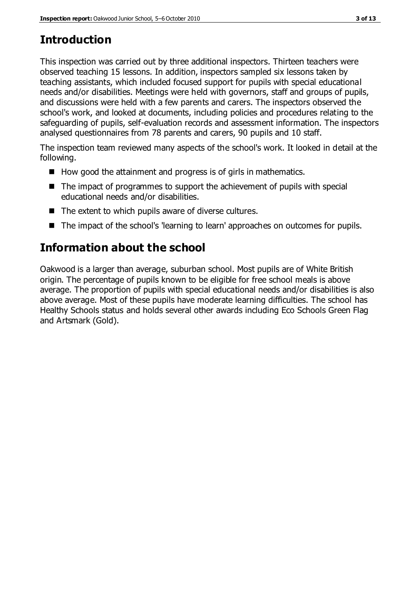# **Introduction**

This inspection was carried out by three additional inspectors. Thirteen teachers were observed teaching 15 lessons. In addition, inspectors sampled six lessons taken by teaching assistants, which included focused support for pupils with special educational needs and/or disabilities. Meetings were held with governors, staff and groups of pupils, and discussions were held with a few parents and carers. The inspectors observed the school's work, and looked at documents, including policies and procedures relating to the safeguarding of pupils, self-evaluation records and assessment information. The inspectors analysed questionnaires from 78 parents and carers, 90 pupils and 10 staff.

The inspection team reviewed many aspects of the school's work. It looked in detail at the following.

- $\blacksquare$  How good the attainment and progress is of girls in mathematics.
- The impact of programmes to support the achievement of pupils with special educational needs and/or disabilities.
- $\blacksquare$  The extent to which pupils aware of diverse cultures.
- The impact of the school's 'learning to learn' approaches on outcomes for pupils.

# **Information about the school**

Oakwood is a larger than average, suburban school. Most pupils are of White British origin. The percentage of pupils known to be eligible for free school meals is above average. The proportion of pupils with special educational needs and/or disabilities is also above average. Most of these pupils have moderate learning difficulties. The school has Healthy Schools status and holds several other awards including Eco Schools Green Flag and Artsmark (Gold).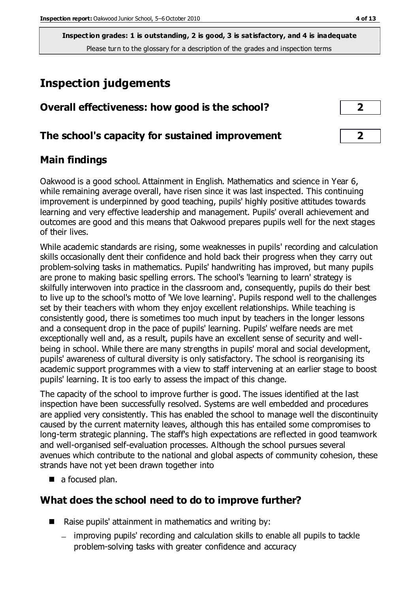**Inspection grades: 1 is outstanding, 2 is good, 3 is satisfactory, and 4 is inadequate** Please turn to the glossary for a description of the grades and inspection terms

# **Inspection judgements**

| Overall effectiveness: how good is the school?  | $\overline{\mathbf{2}}$ |
|-------------------------------------------------|-------------------------|
|                                                 |                         |
| The school's capacity for sustained improvement | $\overline{2}$          |

## **Main findings**

Oakwood is a good school. Attainment in English. Mathematics and science in Year 6, while remaining average overall, have risen since it was last inspected. This continuing improvement is underpinned by good teaching, pupils' highly positive attitudes towards learning and very effective leadership and management. Pupils' overall achievement and outcomes are good and this means that Oakwood prepares pupils well for the next stages of their lives.

While academic standards are rising, some weaknesses in pupils' recording and calculation skills occasionally dent their confidence and hold back their progress when they carry out problem-solving tasks in mathematics. Pupils' handwriting has improved, but many pupils are prone to making basic spelling errors. The school's 'learning to learn' strategy is skilfully interwoven into practice in the classroom and, consequently, pupils do their best to live up to the school's motto of 'We love learning'. Pupils respond well to the challenges set by their teachers with whom they enjoy excellent relationships. While teaching is consistently good, there is sometimes too much input by teachers in the longer lessons and a consequent drop in the pace of pupils' learning. Pupils' welfare needs are met exceptionally well and, as a result, pupils have an excellent sense of security and wellbeing in school. While there are many strengths in pupils' moral and social development, pupils' awareness of cultural diversity is only satisfactory. The school is reorganising its academic support programmes with a view to staff intervening at an earlier stage to boost pupils' learning. It is too early to assess the impact of this change.

The capacity of the school to improve further is good. The issues identified at the last inspection have been successfully resolved. Systems are well embedded and procedures are applied very consistently. This has enabled the school to manage well the discontinuity caused by the current maternity leaves, although this has entailed some compromises to long-term strategic planning. The staff's high expectations are reflected in good teamwork and well-organised self-evaluation processes. Although the school pursues several avenues which contribute to the national and global aspects of community cohesion, these strands have not yet been drawn together into

a focused plan.

## **What does the school need to do to improve further?**

- Raise pupils' attainment in mathematics and writing by:
	- improving pupils' recording and calculation skills to enable all pupils to tackle problem-solving tasks with greater confidence and accuracy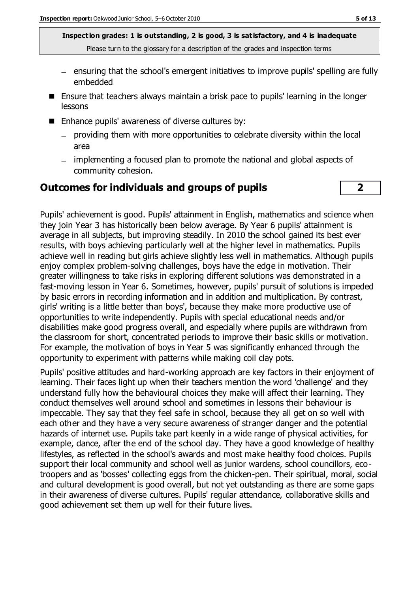**Inspection grades: 1 is outstanding, 2 is good, 3 is satisfactory, and 4 is inadequate** Please turn to the glossary for a description of the grades and inspection terms

- $-$  ensuring that the school's emergent initiatives to improve pupils' spelling are fully embedded
- Ensure that teachers always maintain a brisk pace to pupils' learning in the longer lessons
- Enhance pupils' awareness of diverse cultures by:
	- providing them with more opportunities to celebrate diversity within the local area
	- implementing a focused plan to promote the national and global aspects of community cohesion.

## **Outcomes for individuals and groups of pupils 2**

Pupils' achievement is good. Pupils' attainment in English, mathematics and science when they join Year 3 has historically been below average. By Year 6 pupils' attainment is average in all subjects, but improving steadily. In 2010 the school gained its best ever results, with boys achieving particularly well at the higher level in mathematics. Pupils achieve well in reading but girls achieve slightly less well in mathematics. Although pupils enjoy complex problem-solving challenges, boys have the edge in motivation. Their greater willingness to take risks in exploring different solutions was demonstrated in a fast-moving lesson in Year 6. Sometimes, however, pupils' pursuit of solutions is impeded by basic errors in recording information and in addition and multiplication. By contrast, girls' writing is a little better than boys', because they make more productive use of opportunities to write independently. Pupils with special educational needs and/or disabilities make good progress overall, and especially where pupils are withdrawn from the classroom for short, concentrated periods to improve their basic skills or motivation. For example, the motivation of boys in Year 5 was significantly enhanced through the opportunity to experiment with patterns while making coil clay pots.

Pupils' positive attitudes and hard-working approach are key factors in their enjoyment of learning. Their faces light up when their teachers mention the word 'challenge' and they understand fully how the behavioural choices they make will affect their learning. They conduct themselves well around school and sometimes in lessons their behaviour is impeccable. They say that they feel safe in school, because they all get on so well with each other and they have a very secure awareness of stranger danger and the potential hazards of internet use. Pupils take part keenly in a wide range of physical activities, for example, dance, after the end of the school day. They have a good knowledge of healthy lifestyles, as reflected in the school's awards and most make healthy food choices. Pupils support their local community and school well as junior wardens, school councillors, ecotroopers and as 'bosses' collecting eggs from the chicken-pen. Their spiritual, moral, social and cultural development is good overall, but not yet outstanding as there are some gaps in their awareness of diverse cultures. Pupils' regular attendance, collaborative skills and good achievement set them up well for their future lives.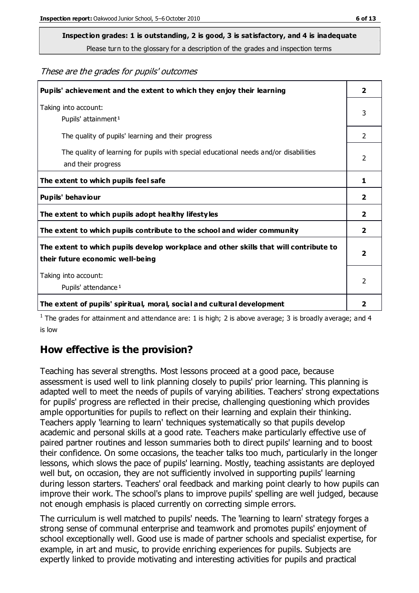# **Inspection grades: 1 is outstanding, 2 is good, 3 is satisfactory, and 4 is inadequate**

Please turn to the glossary for a description of the grades and inspection terms

#### These are the grades for pupils' outcomes

| Pupils' achievement and the extent to which they enjoy their learning                                                     | 2              |
|---------------------------------------------------------------------------------------------------------------------------|----------------|
| Taking into account:<br>Pupils' attainment <sup>1</sup>                                                                   | 3              |
| The quality of pupils' learning and their progress                                                                        | $\mathcal{P}$  |
| The quality of learning for pupils with special educational needs and/or disabilities<br>and their progress               | 2              |
| The extent to which pupils feel safe                                                                                      | 1              |
| Pupils' behaviour                                                                                                         | 2              |
| The extent to which pupils adopt healthy lifestyles                                                                       | 2              |
| The extent to which pupils contribute to the school and wider community                                                   | $\overline{2}$ |
| The extent to which pupils develop workplace and other skills that will contribute to<br>their future economic well-being |                |
| Taking into account:<br>Pupils' attendance <sup>1</sup>                                                                   | $\mathfrak{D}$ |
| The extent of pupils' spiritual, moral, social and cultural development                                                   | $\overline{2}$ |

<sup>1</sup> The grades for attainment and attendance are: 1 is high; 2 is above average; 3 is broadly average; and 4 is low

## **How effective is the provision?**

Teaching has several strengths. Most lessons proceed at a good pace, because assessment is used well to link planning closely to pupils' prior learning. This planning is adapted well to meet the needs of pupils of varying abilities. Teachers' strong expectations for pupils' progress are reflected in their precise, challenging questioning which provides ample opportunities for pupils to reflect on their learning and explain their thinking. Teachers apply 'learning to learn' techniques systematically so that pupils develop academic and personal skills at a good rate. Teachers make particularly effective use of paired partner routines and lesson summaries both to direct pupils' learning and to boost their confidence. On some occasions, the teacher talks too much, particularly in the longer lessons, which slows the pace of pupils' learning. Mostly, teaching assistants are deployed well but, on occasion, they are not sufficiently involved in supporting pupils' learning during lesson starters. Teachers' oral feedback and marking point clearly to how pupils can improve their work. The school's plans to improve pupils' spelling are well judged, because not enough emphasis is placed currently on correcting simple errors.

The curriculum is well matched to pupils' needs. The 'learning to learn' strategy forges a strong sense of communal enterprise and teamwork and promotes pupils' enjoyment of school exceptionally well. Good use is made of partner schools and specialist expertise, for example, in art and music, to provide enriching experiences for pupils. Subjects are expertly linked to provide motivating and interesting activities for pupils and practical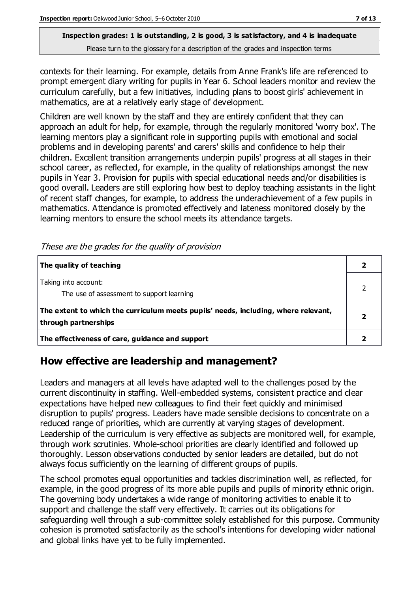#### **Inspection grades: 1 is outstanding, 2 is good, 3 is satisfactory, and 4 is inadequate** Please turn to the glossary for a description of the grades and inspection terms

contexts for their learning. For example, details from Anne Frank's life are referenced to prompt emergent diary writing for pupils in Year 6. School leaders monitor and review the curriculum carefully, but a few initiatives, including plans to boost girls' achievement in mathematics, are at a relatively early stage of development.

Children are well known by the staff and they are entirely confident that they can approach an adult for help, for example, through the regularly monitored 'worry box'. The learning mentors play a significant role in supporting pupils with emotional and social problems and in developing parents' and carers' skills and confidence to help their children. Excellent transition arrangements underpin pupils' progress at all stages in their school career, as reflected, for example, in the quality of relationships amongst the new pupils in Year 3. Provision for pupils with special educational needs and/or disabilities is good overall. Leaders are still exploring how best to deploy teaching assistants in the light of recent staff changes, for example, to address the underachievement of a few pupils in mathematics. Attendance is promoted effectively and lateness monitored closely by the learning mentors to ensure the school meets its attendance targets.

| The quality of teaching                                                                                    |  |
|------------------------------------------------------------------------------------------------------------|--|
| Taking into account:<br>The use of assessment to support learning                                          |  |
| The extent to which the curriculum meets pupils' needs, including, where relevant,<br>through partnerships |  |
| The effectiveness of care, guidance and support                                                            |  |

These are the grades for the quality of provision

## **How effective are leadership and management?**

Leaders and managers at all levels have adapted well to the challenges posed by the current discontinuity in staffing. Well-embedded systems, consistent practice and clear expectations have helped new colleagues to find their feet quickly and minimised disruption to pupils' progress. Leaders have made sensible decisions to concentrate on a reduced range of priorities, which are currently at varying stages of development. Leadership of the curriculum is very effective as subjects are monitored well, for example, through work scrutinies. Whole-school priorities are clearly identified and followed up thoroughly. Lesson observations conducted by senior leaders are detailed, but do not always focus sufficiently on the learning of different groups of pupils.

The school promotes equal opportunities and tackles discrimination well, as reflected, for example, in the good progress of its more able pupils and pupils of minority ethnic origin. The governing body undertakes a wide range of monitoring activities to enable it to support and challenge the staff very effectively. It carries out its obligations for safeguarding well through a sub-committee solely established for this purpose. Community cohesion is promoted satisfactorily as the school's intentions for developing wider national and global links have yet to be fully implemented.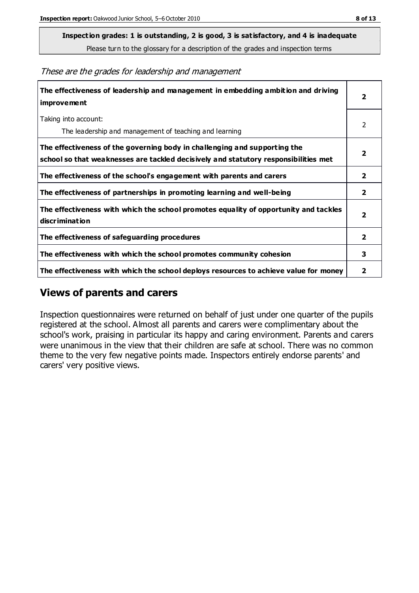**Inspection grades: 1 is outstanding, 2 is good, 3 is satisfactory, and 4 is inadequate**

Please turn to the glossary for a description of the grades and inspection terms

These are the grades for leadership and management

| The effectiveness of leadership and management in embedding ambition and driving<br><b>improvement</b>                                                           | $\overline{\mathbf{2}}$ |
|------------------------------------------------------------------------------------------------------------------------------------------------------------------|-------------------------|
| Taking into account:<br>The leadership and management of teaching and learning                                                                                   | 2                       |
| The effectiveness of the governing body in challenging and supporting the<br>school so that weaknesses are tackled decisively and statutory responsibilities met | 2                       |
| The effectiveness of the school's engagement with parents and carers                                                                                             | 2                       |
| The effectiveness of partnerships in promoting learning and well-being                                                                                           | 2                       |
| The effectiveness with which the school promotes equality of opportunity and tackles<br>discrimination                                                           | $\overline{\mathbf{2}}$ |
| The effectiveness of safeguarding procedures                                                                                                                     | 2                       |
| The effectiveness with which the school promotes community cohesion                                                                                              | 3                       |
| The effectiveness with which the school deploys resources to achieve value for money                                                                             | 2                       |

#### **Views of parents and carers**

Inspection questionnaires were returned on behalf of just under one quarter of the pupils registered at the school. Almost all parents and carers were complimentary about the school's work, praising in particular its happy and caring environment. Parents and carers were unanimous in the view that their children are safe at school. There was no common theme to the very few negative points made. Inspectors entirely endorse parents' and carers' very positive views.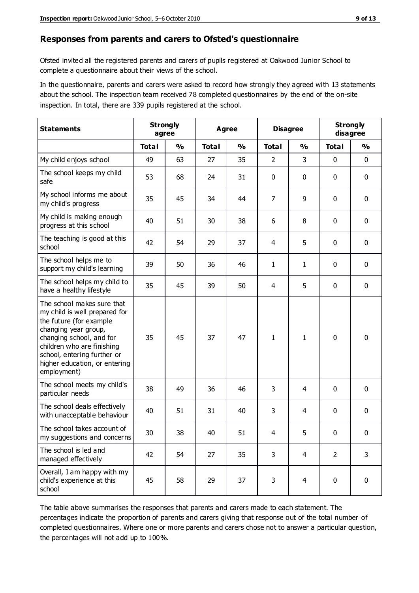#### **Responses from parents and carers to Ofsted's questionnaire**

Ofsted invited all the registered parents and carers of pupils registered at Oakwood Junior School to complete a questionnaire about their views of the school.

In the questionnaire, parents and carers were asked to record how strongly they agreed with 13 statements about the school. The inspection team received 78 completed questionnaires by the end of the on-site inspection. In total, there are 339 pupils registered at the school.

| <b>Statements</b>                                                                                                                                                                                                                                       | <b>Strongly</b><br>agree |               | Agree        |               | <b>Disagree</b> |                | <b>Strongly</b><br>disagree |               |
|---------------------------------------------------------------------------------------------------------------------------------------------------------------------------------------------------------------------------------------------------------|--------------------------|---------------|--------------|---------------|-----------------|----------------|-----------------------------|---------------|
|                                                                                                                                                                                                                                                         | <b>Total</b>             | $\frac{0}{0}$ | <b>Total</b> | $\frac{0}{0}$ | <b>Total</b>    | $\frac{0}{0}$  | <b>Total</b>                | $\frac{0}{0}$ |
| My child enjoys school                                                                                                                                                                                                                                  | 49                       | 63            | 27           | 35            | $\overline{2}$  | 3              | $\mathbf 0$                 | $\mathbf 0$   |
| The school keeps my child<br>safe                                                                                                                                                                                                                       | 53                       | 68            | 24           | 31            | 0               | 0              | $\mathbf 0$                 | $\mathbf 0$   |
| My school informs me about<br>my child's progress                                                                                                                                                                                                       | 35                       | 45            | 34           | 44            | 7               | 9              | $\mathbf 0$                 | $\mathbf 0$   |
| My child is making enough<br>progress at this school                                                                                                                                                                                                    | 40                       | 51            | 30           | 38            | 6               | 8              | 0                           | $\mathbf 0$   |
| The teaching is good at this<br>school                                                                                                                                                                                                                  | 42                       | 54            | 29           | 37            | 4               | 5              | $\mathbf 0$                 | $\mathbf 0$   |
| The school helps me to<br>support my child's learning                                                                                                                                                                                                   | 39                       | 50            | 36           | 46            | $\mathbf{1}$    | $\mathbf{1}$   | $\mathbf 0$                 | $\mathbf 0$   |
| The school helps my child to<br>have a healthy lifestyle                                                                                                                                                                                                | 35                       | 45            | 39           | 50            | 4               | 5              | $\mathbf 0$                 | $\mathbf 0$   |
| The school makes sure that<br>my child is well prepared for<br>the future (for example<br>changing year group,<br>changing school, and for<br>children who are finishing<br>school, entering further or<br>higher education, or entering<br>employment) | 35                       | 45            | 37           | 47            | $\mathbf{1}$    | 1              | $\mathbf 0$                 | $\mathbf 0$   |
| The school meets my child's<br>particular needs                                                                                                                                                                                                         | 38                       | 49            | 36           | 46            | 3               | 4              | $\mathbf 0$                 | $\mathbf 0$   |
| The school deals effectively<br>with unacceptable behaviour                                                                                                                                                                                             | 40                       | 51            | 31           | 40            | 3               | 4              | 0                           | 0             |
| The school takes account of<br>my suggestions and concerns                                                                                                                                                                                              | 30                       | 38            | 40           | 51            | 4               | 5              | 0                           | 0             |
| The school is led and<br>managed effectively                                                                                                                                                                                                            | 42                       | 54            | 27           | 35            | 3               | $\overline{4}$ | $\overline{2}$              | 3             |
| Overall, I am happy with my<br>child's experience at this<br>school                                                                                                                                                                                     | 45                       | 58            | 29           | 37            | 3               | $\overline{4}$ | $\mathbf 0$                 | $\mathbf 0$   |

The table above summarises the responses that parents and carers made to each statement. The percentages indicate the proportion of parents and carers giving that response out of the total number of completed questionnaires. Where one or more parents and carers chose not to answer a particular question, the percentages will not add up to 100%.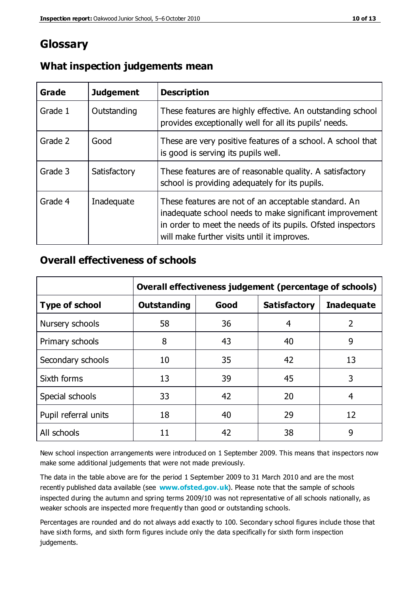## **Glossary**

| Grade   | <b>Judgement</b> | <b>Description</b>                                                                                                                                                                                                            |
|---------|------------------|-------------------------------------------------------------------------------------------------------------------------------------------------------------------------------------------------------------------------------|
| Grade 1 | Outstanding      | These features are highly effective. An outstanding school<br>provides exceptionally well for all its pupils' needs.                                                                                                          |
| Grade 2 | Good             | These are very positive features of a school. A school that<br>is good is serving its pupils well.                                                                                                                            |
| Grade 3 | Satisfactory     | These features are of reasonable quality. A satisfactory<br>school is providing adequately for its pupils.                                                                                                                    |
| Grade 4 | Inadequate       | These features are not of an acceptable standard. An<br>inadequate school needs to make significant improvement<br>in order to meet the needs of its pupils. Ofsted inspectors<br>will make further visits until it improves. |

#### **What inspection judgements mean**

#### **Overall effectiveness of schools**

|                       | Overall effectiveness judgement (percentage of schools) |      |                     |                   |
|-----------------------|---------------------------------------------------------|------|---------------------|-------------------|
| <b>Type of school</b> | <b>Outstanding</b>                                      | Good | <b>Satisfactory</b> | <b>Inadequate</b> |
| Nursery schools       | 58                                                      | 36   | 4                   | 2                 |
| Primary schools       | 8                                                       | 43   | 40                  | 9                 |
| Secondary schools     | 10                                                      | 35   | 42                  | 13                |
| Sixth forms           | 13                                                      | 39   | 45                  | 3                 |
| Special schools       | 33                                                      | 42   | 20                  | 4                 |
| Pupil referral units  | 18                                                      | 40   | 29                  | 12                |
| All schools           | 11                                                      | 42   | 38                  | 9                 |

New school inspection arrangements were introduced on 1 September 2009. This means that inspectors now make some additional judgements that were not made previously.

The data in the table above are for the period 1 September 2009 to 31 March 2010 and are the most recently published data available (see **[www.ofsted.gov.uk](http://www.ofsted.gov.uk/)**). Please note that the sample of schools inspected during the autumn and spring terms 2009/10 was not representative of all schools nationally, as weaker schools are inspected more frequently than good or outstanding schools.

Percentages are rounded and do not always add exactly to 100. Secondary school figures include those that have sixth forms, and sixth form figures include only the data specifically for sixth form inspection judgements.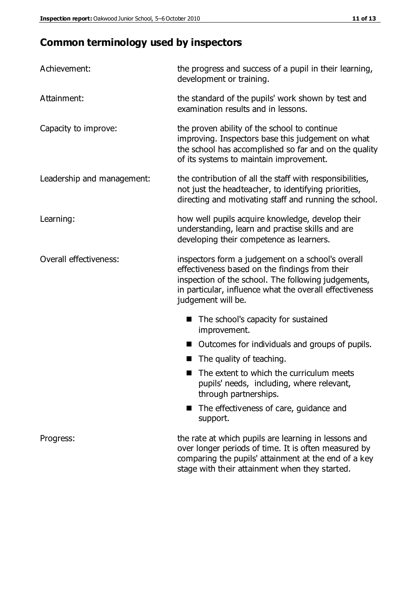# **Common terminology used by inspectors**

| Achievement:                  | the progress and success of a pupil in their learning,<br>development or training.                                                                                                                                                          |  |  |
|-------------------------------|---------------------------------------------------------------------------------------------------------------------------------------------------------------------------------------------------------------------------------------------|--|--|
| Attainment:                   | the standard of the pupils' work shown by test and<br>examination results and in lessons.                                                                                                                                                   |  |  |
| Capacity to improve:          | the proven ability of the school to continue<br>improving. Inspectors base this judgement on what<br>the school has accomplished so far and on the quality<br>of its systems to maintain improvement.                                       |  |  |
| Leadership and management:    | the contribution of all the staff with responsibilities,<br>not just the headteacher, to identifying priorities,<br>directing and motivating staff and running the school.                                                                  |  |  |
| Learning:                     | how well pupils acquire knowledge, develop their<br>understanding, learn and practise skills and are<br>developing their competence as learners.                                                                                            |  |  |
| <b>Overall effectiveness:</b> | inspectors form a judgement on a school's overall<br>effectiveness based on the findings from their<br>inspection of the school. The following judgements,<br>in particular, influence what the overall effectiveness<br>judgement will be. |  |  |
|                               | The school's capacity for sustained<br>improvement.                                                                                                                                                                                         |  |  |
|                               | Outcomes for individuals and groups of pupils.                                                                                                                                                                                              |  |  |
|                               | The quality of teaching.                                                                                                                                                                                                                    |  |  |
|                               | The extent to which the curriculum meets<br>pupils' needs, including, where relevant,<br>through partnerships.                                                                                                                              |  |  |
|                               | The effectiveness of care, guidance and<br>support.                                                                                                                                                                                         |  |  |
| Progress:                     | the rate at which pupils are learning in lessons and<br>over longer periods of time. It is often measured by<br>comparing the pupils' attainment at the end of a key                                                                        |  |  |

stage with their attainment when they started.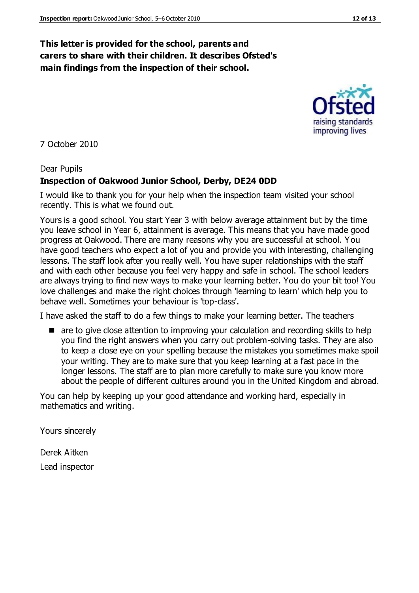#### **This letter is provided for the school, parents and carers to share with their children. It describes Ofsted's main findings from the inspection of their school.**

7 October 2010

#### Dear Pupils

#### **Inspection of Oakwood Junior School, Derby, DE24 0DD**

I would like to thank you for your help when the inspection team visited your school recently. This is what we found out.

Yours is a good school. You start Year 3 with below average attainment but by the time you leave school in Year 6, attainment is average. This means that you have made good progress at Oakwood. There are many reasons why you are successful at school. You have good teachers who expect a lot of you and provide you with interesting, challenging lessons. The staff look after you really well. You have super relationships with the staff and with each other because you feel very happy and safe in school. The school leaders are always trying to find new ways to make your learning better. You do your bit too! You love challenges and make the right choices through 'learning to learn' which help you to behave well. Sometimes your behaviour is 'top-class'.

I have asked the staff to do a few things to make your learning better. The teachers

■ are to give close attention to improving your calculation and recording skills to help you find the right answers when you carry out problem-solving tasks. They are also to keep a close eye on your spelling because the mistakes you sometimes make spoil your writing. They are to make sure that you keep learning at a fast pace in the longer lessons. The staff are to plan more carefully to make sure you know more about the people of different cultures around you in the United Kingdom and abroad.

You can help by keeping up your good attendance and working hard, especially in mathematics and writing.

Yours sincerely

Derek Aitken Lead inspector